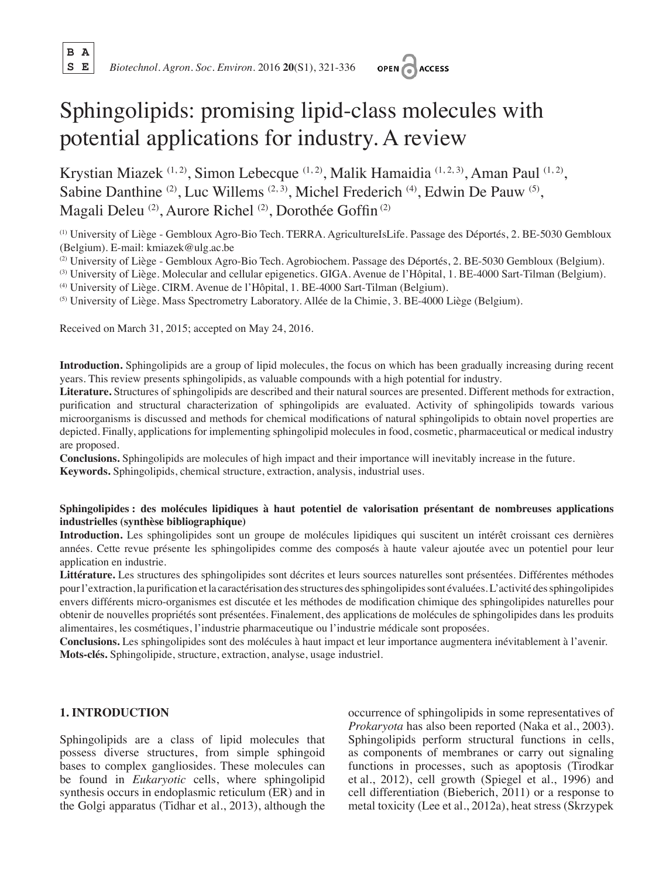**B A**



# Sphingolipids: promising lipid-class molecules with potential applications for industry. A review

Krystian Miazek (1, 2), Simon Lebecque (1, 2), Malik Hamaidia (1, 2, 3), Aman Paul (1, 2), Sabine Danthine <sup>(2)</sup>, Luc Willems <sup>(2, 3)</sup>, Michel Frederich <sup>(4)</sup>, Edwin De Pauw <sup>(5)</sup>, Magali Deleu<sup>(2)</sup>, Aurore Richel<sup>(2)</sup>, Dorothée Goffin<sup>(2)</sup>

(1) University of Liège - Gembloux Agro-Bio Tech. TERRA. AgricultureIsLife. Passage des Déportés, 2. BE-5030 Gembloux (Belgium). E-mail: kmiazek@ulg.ac.be

(2) University of Liège - Gembloux Agro-Bio Tech. Agrobiochem. Passage des Déportés, 2. BE-5030 Gembloux (Belgium).

(3) University of Liège. Molecular and cellular epigenetics. GIGA. Avenue de l'Hôpital, 1. BE-4000 Sart-Tilman (Belgium).

(4) University of Liège. CIRM. Avenue de l'Hôpital, 1. BE-4000 Sart-Tilman (Belgium).<br>
(5) University of Liège. Mass Spectrometry Laboratory. Allée de la Chimie, 3. BE-4000 Liège (Belgium).

Received on March 31, 2015; accepted on May 24, 2016.

**Introduction.** Sphingolipids are a group of lipid molecules, the focus on which has been gradually increasing during recent years. This review presents sphingolipids, as valuable compounds with a high potential for industry.

**Literature.** Structures of sphingolipids are described and their natural sources are presented. Different methods for extraction, purification and structural characterization of sphingolipids are evaluated. Activity of sphingolipids towards various microorganisms is discussed and methods for chemical modifications of natural sphingolipids to obtain novel properties are depicted. Finally, applications for implementing sphingolipid molecules in food, cosmetic, pharmaceutical or medical industry are proposed.

**Conclusions.** Sphingolipids are molecules of high impact and their importance will inevitably increase in the future. **Keywords.** Sphingolipids, chemical structure, extraction, analysis, industrial uses.

## **Sphingolipides : des molécules lipidiques à haut potentiel de valorisation présentant de nombreuses applications industrielles (synthèse bibliographique)**

**Introduction.** Les sphingolipides sont un groupe de molécules lipidiques qui suscitent un intérêt croissant ces dernières années. Cette revue présente les sphingolipides comme des composés à haute valeur ajoutée avec un potentiel pour leur application en industrie.

**Littérature.** Les structures des sphingolipides sont décrites et leurs sources naturelles sont présentées. Différentes méthodes pourl'extraction,la purification et la caractérisation desstructures dessphingolipidessont évaluées.L'activité dessphingolipides envers différents micro-organismes est discutée et les méthodes de modification chimique des sphingolipides naturelles pour obtenir de nouvelles propriétés sont présentées. Finalement, des applications de molécules de sphingolipides dans les produits alimentaires, les cosmétiques, l'industrie pharmaceutique ou l'industrie médicale sont proposées.

**Conclusions.** Les sphingolipides sont des molécules à haut impact et leur importance augmentera inévitablement à l'avenir. **Mots-clés.** Sphingolipide, structure, extraction, analyse, usage industriel.

## **1. INTRODUCTION**

Sphingolipids are a class of lipid molecules that possess diverse structures, from simple sphingoid bases to complex gangliosides. These molecules can be found in *Eukaryotic* cells, where sphingolipid synthesis occurs in endoplasmic reticulum (ER) and in the Golgi apparatus (Tidhar et al., 2013), although the occurrence of sphingolipids in some representatives of *Prokaryota* has also been reported (Naka et al., 2003). Sphingolipids perform structural functions in cells, as components of membranes or carry out signaling functions in processes, such as apoptosis (Tirodkar et al., 2012), cell growth (Spiegel et al., 1996) and cell differentiation (Bieberich, 2011) or a response to metal toxicity (Lee et al., 2012a), heat stress (Skrzypek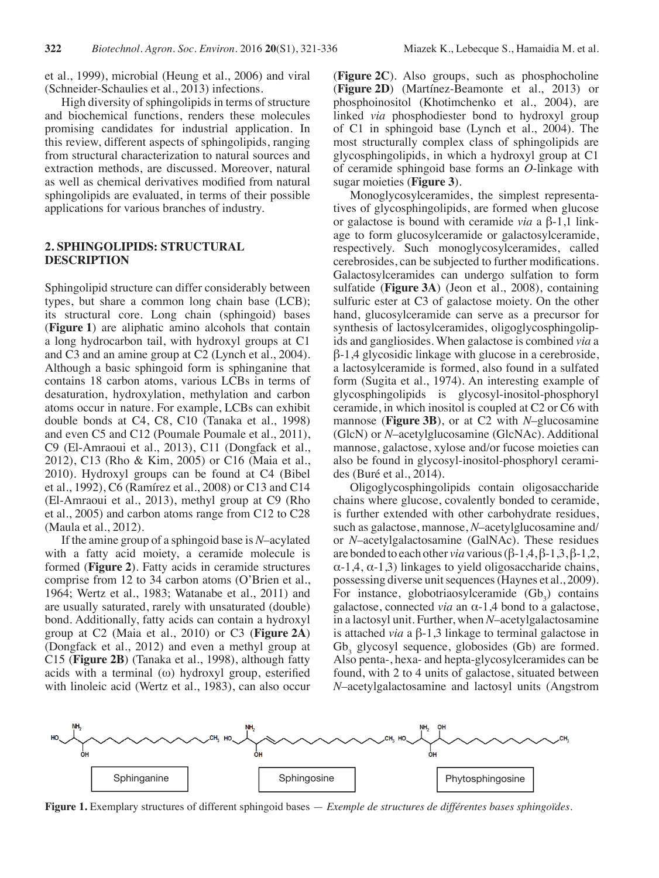et al., 1999), microbial (Heung et al., 2006) and viral (Schneider-Schaulies et al., 2013) infections.

High diversity of sphingolipids in terms of structure and biochemical functions, renders these molecules promising candidates for industrial application. In this review, different aspects of sphingolipids, ranging from structural characterization to natural sources and extraction methods, are discussed. Moreover, natural as well as chemical derivatives modified from natural sphingolipids are evaluated, in terms of their possible applications for various branches of industry.

#### **2. SPHINGOLIPIDS: STRUCTURAL DESCRIPTION**

Sphingolipid structure can differ considerably between types, but share a common long chain base (LCB); its structural core. Long chain (sphingoid) bases (**Figure 1**) are aliphatic amino alcohols that contain a long hydrocarbon tail, with hydroxyl groups at C1 and C3 and an amine group at C2 (Lynch et al., 2004). Although a basic sphingoid form is sphinganine that contains 18 carbon atoms, various LCBs in terms of desaturation, hydroxylation, methylation and carbon atoms occur in nature. For example, LCBs can exhibit double bonds at C4, C8, C10 (Tanaka et al., 1998) and even C5 and C12 (Poumale Poumale et al., 2011), C9 (El-Amraoui et al., 2013), C11 (Dongfack et al., 2012), C13 (Rho & Kim, 2005) or C16 (Maia et al., 2010). Hydroxyl groups can be found at C4 (Bibel et al., 1992), C6 (Ramírez et al., 2008) or C13 and C14 (El-Amraoui et al., 2013), methyl group at C9 (Rho et al., 2005) and carbon atoms range from C12 to C28 (Maula et al., 2012).

If the amine group of a sphingoid base is *N*–acylated with a fatty acid moiety, a ceramide molecule is formed (**Figure 2**). Fatty acids in ceramide structures comprise from 12 to 34 carbon atoms (O'Brien et al., 1964; Wertz et al., 1983; Watanabe et al., 2011) and are usually saturated, rarely with unsaturated (double) bond. Additionally, fatty acids can contain a hydroxyl group at C2 (Maia et al., 2010) or C3 (**Figure 2A**) (Dongfack et al., 2012) and even a methyl group at C15 (**Figure 2B**) (Tanaka et al., 1998), although fatty acids with a terminal (ω) hydroxyl group, esterified with linoleic acid (Wertz et al., 1983), can also occur

(**Figure 2C**). Also groups, such as phosphocholine (**Figure 2D**) (Martínez-Beamonte et al., 2013) or phosphoinositol (Khotimchenko et al., 2004), are linked *via* phosphodiester bond to hydroxyl group of C1 in sphingoid base (Lynch et al., 2004). The most structurally complex class of sphingolipids are glycosphingolipids, in which a hydroxyl group at C1 of ceramide sphingoid base forms an *O*-linkage with sugar moieties (**Figure 3**).

Monoglycosylceramides, the simplest representatives of glycosphingolipids, are formed when glucose or galactose is bound with ceramide *via* a β-1,1 linkage to form glucosylceramide or galactosylceramide, respectively. Such monoglycosylceramides, called cerebrosides, can be subjected to further modifications. Galactosylceramides can undergo sulfation to form sulfatide (**Figure 3A**) (Jeon et al., 2008), containing sulfuric ester at C3 of galactose moiety. On the other hand, glucosylceramide can serve as a precursor for synthesis of lactosylceramides, oligoglycosphingolipids and gangliosides. When galactose is combined *via* a β-1,4 glycosidic linkage with glucose in a cerebroside, a lactosylceramide is formed, also found in a sulfated form (Sugita et al., 1974). An interesting example of glycosphingolipids is glycosyl-inositol-phosphoryl ceramide, in which inositol is coupled at C2 or C6 with mannose (**Figure 3B**), or at C2 with *N*–glucosamine (GlcN) or *N*–acetylglucosamine (GlcNAc). Additional mannose, galactose, xylose and/or fucose moieties can also be found in glycosyl-inositol-phosphoryl ceramides (Buré et al., 2014).

Oligoglycosphingolipids contain oligosaccharide chains where glucose, covalently bonded to ceramide, is further extended with other carbohydrate residues, such as galactose, mannose, *N*–acetylglucosamine and/ or *N*–acetylgalactosamine (GalNAc). These residues are bonded to each other *via* various(β-1,4, β-1,3, β-1,2,  $\alpha$ -1,4,  $\alpha$ -1,3) linkages to yield oligosaccharide chains, possessing diverse unit sequences (Haynes et al., 2009). For instance, globotriaosylceramide  $(Gb_3)$  contains galactose, connected *via* an α-1,4 bond to a galactose, in a lactosyl unit. Further, when *N*–acetylgalactosamine is attached *via* a β-1,3 linkage to terminal galactose in Gb<sub>3</sub> glycosyl sequence, globosides (Gb) are formed. Also penta-, hexa- and hepta-glycosylceramides can be found, with 2 to 4 units of galactose, situated between *N*–acetylgalactosamine and lactosyl units (Angstrom



**Figure 1.** Exemplary structures of different sphingoid bases — *Exemple de structures de différentes bases sphingoïdes*.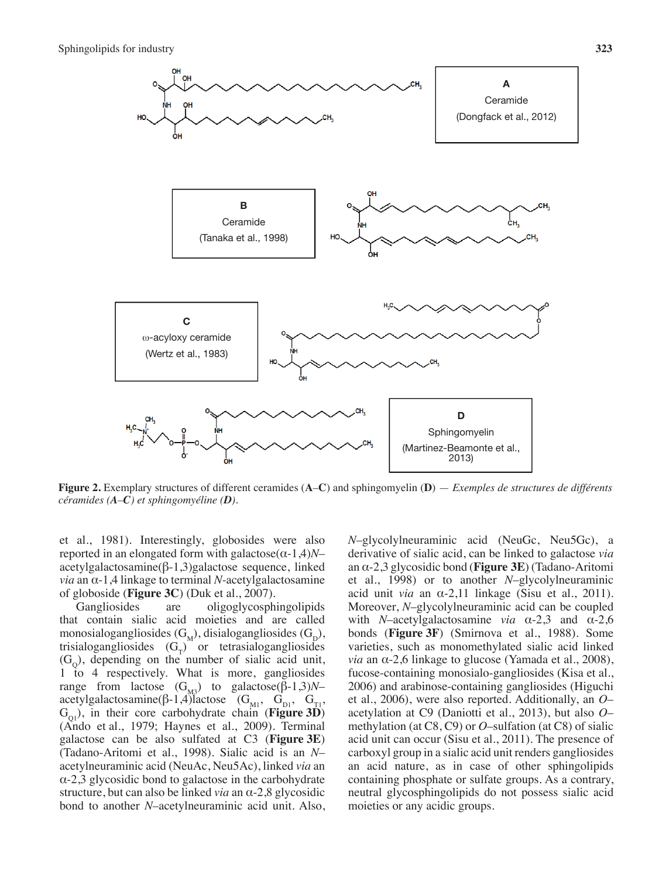

**Figure 2.** Exemplary structures of different ceramides (**A**–**C**) and sphingomyelin (**D**) — *Exemples de structures de différents céramides (A–C) et sphingomyéline (D).*

et al., 1981). Interestingly, globosides were also reported in an elongated form with galactose(α-1,4)*N*– acetylgalactosamine(β-1,3)galactose sequence, linked *via* an α-1,4 linkage to terminal *N*-acetylgalactosamine of globoside (**Figure 3C**) (Duk et al., 2007).

Gangliosides are oligoglycosphingolipids that contain sialic acid moieties and are called monosialogangliosides  $(G_M)$ , disialogangliosides  $(G_D)$ , trisialogangliosides  $(G_T)$  or tetrasialogangliosides  $(G<sub>o</sub>)$ , depending on the number of sialic acid unit, 1 to 4 respectively. What is more, gangliosides range from lactose  $(G_{M3})$  to galactose  $(β-1,3)N$ acetylgalactosamine(β-1,4)lactose (G<sub>M1</sub>, G<sub>D1</sub>, G<sub>T1</sub>,  $G<sub>ol</sub>$ ), in their core carbohydrate chain (**Figure 3D**) (Ando et al., 1979; Haynes et al., 2009). Terminal galactose can be also sulfated at C3 (**Figure 3E**) (Tadano-Aritomi et al., 1998). Sialic acid is an *N*– acetylneuraminic acid (NeuAc, Neu5Ac), linked *via* an  $\alpha$ -2,3 glycosidic bond to galactose in the carbohydrate structure, but can also be linked *via* an α-2,8 glycosidic bond to another *N*–acetylneuraminic acid unit. Also, *N*–glycolylneuraminic acid (NeuGc, Neu5Gc), a derivative of sialic acid, can be linked to galactose *via* an α-2,3 glycosidic bond (**Figure 3E**) (Tadano-Aritomi et al., 1998) or to another *N*–glycolylneuraminic acid unit *via* an α-2,11 linkage (Sisu et al., 2011). Moreover, *N*–glycolylneuraminic acid can be coupled with *N*–acetylgalactosamine *via* α-2,3 and α-2,6 bonds (**Figure 3F**) (Smirnova et al., 1988). Some varieties, such as monomethylated sialic acid linked *via* an α-2,6 linkage to glucose (Yamada et al., 2008), fucose-containing monosialo-gangliosides (Kisa et al., 2006) and arabinose-containing gangliosides (Higuchi et al., 2006), were also reported. Additionally, an *O*– acetylation at C9 (Daniotti et al., 2013), but also *O*– methylation (at C8, C9) or *O*–sulfation (at C8) of sialic acid unit can occur (Sisu et al., 2011). The presence of carboxyl group in a sialic acid unit renders gangliosides an acid nature, as in case of other sphingolipids containing phosphate or sulfate groups. As a contrary, neutral glycosphingolipids do not possess sialic acid moieties or any acidic groups.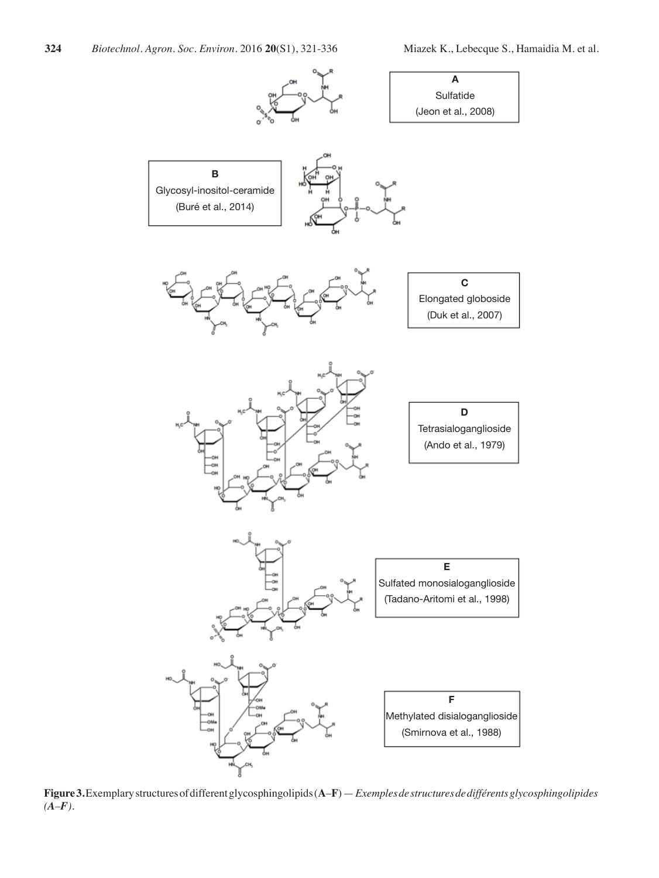

**Figure3.**Exemplarystructuresofdifferentglycosphingolipids(**A**–**F**)—*Exemples de structures de différents glycosphingolipides (A–F).*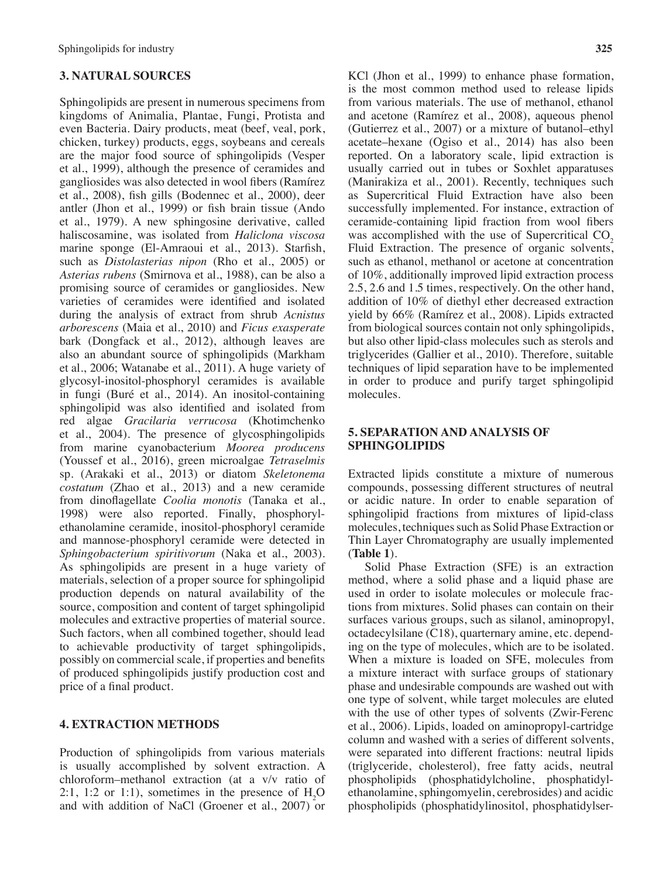## **3. NATURAL SOURCES**

Sphingolipids are present in numerous specimens from kingdoms of Animalia, Plantae, Fungi, Protista and even Bacteria. Dairy products, meat (beef, veal, pork, chicken, turkey) products, eggs, soybeans and cereals are the major food source of sphingolipids (Vesper et al., 1999), although the presence of ceramides and gangliosides was also detected in wool fibers (Ramírez et al., 2008), fish gills (Bodennec et al., 2000), deer antler (Jhon et al., 1999) or fish brain tissue (Ando et al., 1979). A new sphingosine derivative, called haliscosamine, was isolated from *Haliclona viscosa* marine sponge (El-Amraoui et al., 2013). Starfish, such as *Distolasterias nipon* (Rho et al., 2005) or *Asterias rubens* (Smirnova et al., 1988), can be also a promising source of ceramides or gangliosides. New varieties of ceramides were identified and isolated during the analysis of extract from shrub *Acnistus arborescens* (Maia et al., 2010) and *Ficus exasperate* bark (Dongfack et al., 2012), although leaves are also an abundant source of sphingolipids (Markham et al., 2006; Watanabe et al., 2011). A huge variety of glycosyl-inositol-phosphoryl ceramides is available in fungi (Buré et al., 2014). An inositol-containing sphingolipid was also identified and isolated from red algae *Gracilaria verrucosa* (Khotimchenko et al., 2004). The presence of glycosphingolipids from marine cyanobacterium *Moorea producens* (Youssef et al., 2016), green microalgae *Tetraselmis* sp. (Arakaki et al., 2013) or diatom *Skeletonema costatum* (Zhao et al., 2013) and a new ceramide from dinoflagellate *Coolia monotis* (Tanaka et al., 1998) were also reported. Finally, phosphorylethanolamine ceramide, inositol-phosphoryl ceramide and mannose-phosphoryl ceramide were detected in *Sphingobacterium spiritivorum* (Naka et al., 2003). As sphingolipids are present in a huge variety of materials, selection of a proper source for sphingolipid production depends on natural availability of the source, composition and content of target sphingolipid molecules and extractive properties of material source. Such factors, when all combined together, should lead to achievable productivity of target sphingolipids, possibly on commercial scale, if properties and benefits of produced sphingolipids justify production cost and price of a final product.

# **4. EXTRACTION METHODS**

Production of sphingolipids from various materials is usually accomplished by solvent extraction. A chloroform–methanol extraction (at a v/v ratio of 2:1, 1:2 or 1:1), sometimes in the presence of  $H_2O$ and with addition of NaCl (Groener et al., 2007) or

KCl (Jhon et al., 1999) to enhance phase formation, is the most common method used to release lipids from various materials. The use of methanol, ethanol and acetone (Ramírez et al., 2008), aqueous phenol (Gutierrez et al., 2007) or a mixture of butanol–ethyl acetate–hexane (Ogiso et al., 2014) has also been reported. On a laboratory scale, lipid extraction is usually carried out in tubes or Soxhlet apparatuses (Manirakiza et al., 2001). Recently, techniques such as Supercritical Fluid Extraction have also been successfully implemented. For instance, extraction of ceramide-containing lipid fraction from wool fibers was accomplished with the use of Supercritical  $CO<sub>2</sub>$ Fluid Extraction. The presence of organic solvents, such as ethanol, methanol or acetone at concentration of 10%, additionally improved lipid extraction process 2.5, 2.6 and 1.5 times, respectively. On the other hand, addition of 10% of diethyl ether decreased extraction yield by 66% (Ramírez et al., 2008). Lipids extracted from biological sources contain not only sphingolipids, but also other lipid-class molecules such as sterols and triglycerides (Gallier et al., 2010). Therefore, suitable techniques of lipid separation have to be implemented in order to produce and purify target sphingolipid molecules.

## **5. SEPARATION AND ANALYSIS OF SPHINGOLIPIDS**

Extracted lipids constitute a mixture of numerous compounds, possessing different structures of neutral or acidic nature. In order to enable separation of sphingolipid fractions from mixtures of lipid-class molecules, techniques such as Solid Phase Extraction or Thin Layer Chromatography are usually implemented (**Table 1**).

Solid Phase Extraction (SFE) is an extraction method, where a solid phase and a liquid phase are used in order to isolate molecules or molecule fractions from mixtures. Solid phases can contain on their surfaces various groups, such as silanol, aminopropyl, octadecylsilane (C18), quarternary amine, etc. depending on the type of molecules, which are to be isolated. When a mixture is loaded on SFE, molecules from a mixture interact with surface groups of stationary phase and undesirable compounds are washed out with one type of solvent, while target molecules are eluted with the use of other types of solvents (Zwir-Ferenc et al., 2006). Lipids, loaded on aminopropyl-cartridge column and washed with a series of different solvents, were separated into different fractions: neutral lipids (triglyceride, cholesterol), free fatty acids, neutral phospholipids (phosphatidylcholine, phosphatidylethanolamine, sphingomyelin, cerebrosides) and acidic phospholipids (phosphatidylinositol, phosphatidylser-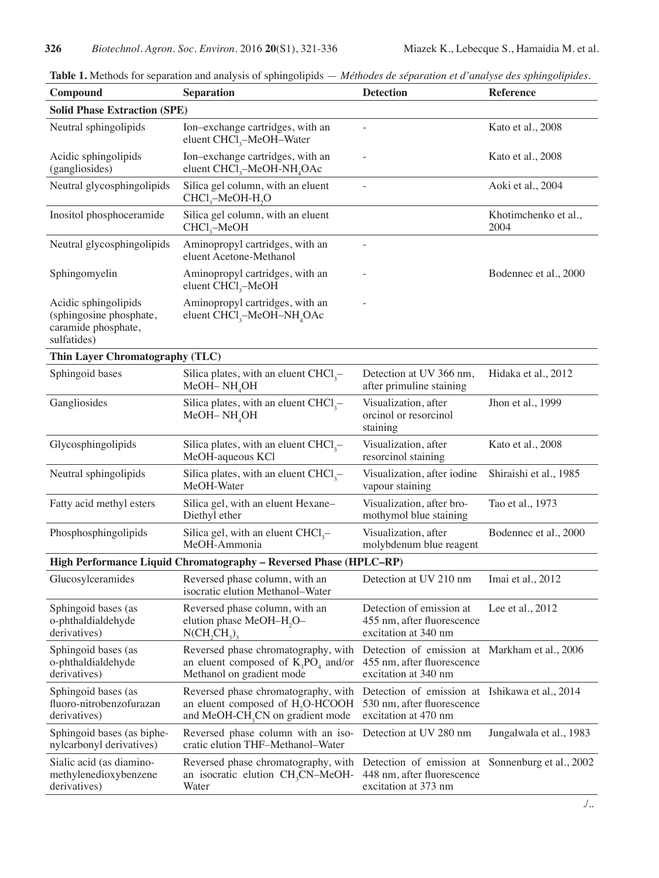| Compound                                                                              | <b>Separation</b>                                                                                                                   | <b>Detection</b>                                                                                     | <b>Reference</b>             |  |  |
|---------------------------------------------------------------------------------------|-------------------------------------------------------------------------------------------------------------------------------------|------------------------------------------------------------------------------------------------------|------------------------------|--|--|
| <b>Solid Phase Extraction (SPE)</b>                                                   |                                                                                                                                     |                                                                                                      |                              |  |  |
| Neutral sphingolipids                                                                 | Ion-exchange cartridges, with an<br>eluent CHCl <sub>3</sub> -MeOH-Water                                                            |                                                                                                      | Kato et al., 2008            |  |  |
| Acidic sphingolipids<br>(gangliosides)                                                | Ion-exchange cartridges, with an<br>eluent CHCl <sub>3</sub> -MeOH-NH <sub>4</sub> OAc                                              |                                                                                                      | Kato et al., 2008            |  |  |
| Neutral glycosphingolipids                                                            | Silica gel column, with an eluent<br>CHCl <sub>3</sub> -MeOH-H <sub>2</sub> O                                                       |                                                                                                      | Aoki et al., 2004            |  |  |
| Inositol phosphoceramide                                                              | Silica gel column, with an eluent<br>$CHCl3$ -MeOH                                                                                  |                                                                                                      | Khotimchenko et al.,<br>2004 |  |  |
| Neutral glycosphingolipids                                                            | Aminopropyl cartridges, with an<br>eluent Acetone-Methanol                                                                          |                                                                                                      |                              |  |  |
| Sphingomyelin                                                                         | Aminopropyl cartridges, with an<br>eluent $CHCl3$ -MeOH                                                                             |                                                                                                      | Bodennec et al., 2000        |  |  |
| Acidic sphingolipids<br>(sphingosine phosphate,<br>caramide phosphate,<br>sulfatides) | Aminopropyl cartridges, with an<br>eluent $CHCl3-MeOH-NH4OAc$                                                                       |                                                                                                      |                              |  |  |
| Thin Layer Chromatography (TLC)                                                       |                                                                                                                                     |                                                                                                      |                              |  |  |
| Sphingoid bases                                                                       | Silica plates, with an eluent $CHCl3$ -<br>MeOH-NH <sub>4</sub> OH                                                                  | Detection at UV 366 nm,<br>after primuline staining                                                  | Hidaka et al., 2012          |  |  |
| Gangliosides                                                                          | Silica plates, with an eluent $CHCl3$ -<br>$MeOH-NH4OH$                                                                             | Visualization, after<br>orcinol or resorcinol<br>staining                                            | Jhon et al., 1999            |  |  |
| Glycosphingolipids                                                                    | Silica plates, with an eluent $CHCl3$ -<br>MeOH-aqueous KCl                                                                         | Visualization, after<br>resorcinol staining                                                          | Kato et al., 2008            |  |  |
| Neutral sphingolipids                                                                 | Silica plates, with an eluent $CHCl3$ -<br>MeOH-Water                                                                               | Visualization, after iodine<br>vapour staining                                                       | Shiraishi et al., 1985       |  |  |
| Fatty acid methyl esters                                                              | Silica gel, with an eluent Hexane-<br>Diethyl ether                                                                                 | Visualization, after bro-<br>mothymol blue staining                                                  | Tao et al., 1973             |  |  |
| Phosphosphingolipids                                                                  | Silica gel, with an eluent $CHCl3$ -<br>MeOH-Ammonia                                                                                | Visualization, after<br>molybdenum blue reagent                                                      | Bodennec et al., 2000        |  |  |
|                                                                                       | High Performance Liquid Chromatography - Reversed Phase (HPLC-RP)                                                                   |                                                                                                      |                              |  |  |
| Glucosylceramides                                                                     | Reversed phase column, with an<br>isocratic elution Methanol-Water                                                                  | Detection at UV 210 nm                                                                               | Imai et al., 2012            |  |  |
| Sphingoid bases (as<br>o-phthaldialdehyde<br>derivatives)                             | Reversed phase column, with an<br>elution phase MeOH-H <sub>2</sub> O-<br>N(CH, CH <sub>2</sub> )                                   | Detection of emission at<br>455 nm, after fluorescence<br>excitation at 340 nm                       | Lee et al., $2012$           |  |  |
| Sphingoid bases (as<br>o-phthaldialdehyde<br>derivatives)                             | Reversed phase chromatography, with<br>an eluent composed of $K_3PO_4$ and/or<br>Methanol on gradient mode                          | Detection of emission at Markham et al., 2006<br>455 nm, after fluorescence<br>excitation at 340 nm  |                              |  |  |
| Sphingoid bases (as<br>fluoro-nitrobenzofurazan<br>derivatives)                       | Reversed phase chromatography, with<br>an eluent composed of H <sub>2</sub> O-HCOOH<br>and MeOH-CH <sub>3</sub> CN on gradient mode | Detection of emission at Ishikawa et al., 2014<br>530 nm, after fluorescence<br>excitation at 470 nm |                              |  |  |
| Sphingoid bases (as biphe-<br>nylcarbonyl derivatives)                                | Reversed phase column with an iso-<br>cratic elution THF-Methanol-Water                                                             | Detection at UV 280 nm                                                                               | Jungalwala et al., 1983      |  |  |
| Sialic acid (as diamino-<br>methylenedioxybenzene<br>derivatives)                     | Reversed phase chromatography, with<br>an isocratic elution $CH3CN-MeOH$<br>Water                                                   | Detection of emission at<br>448 nm, after fluorescence<br>excitation at 373 nm                       | Sonnenburg et al., 2002      |  |  |

**Table 1.** Methods for separation and analysis of sphingolipids — *Méthodes de séparation et d'analyse des sphingolipides*.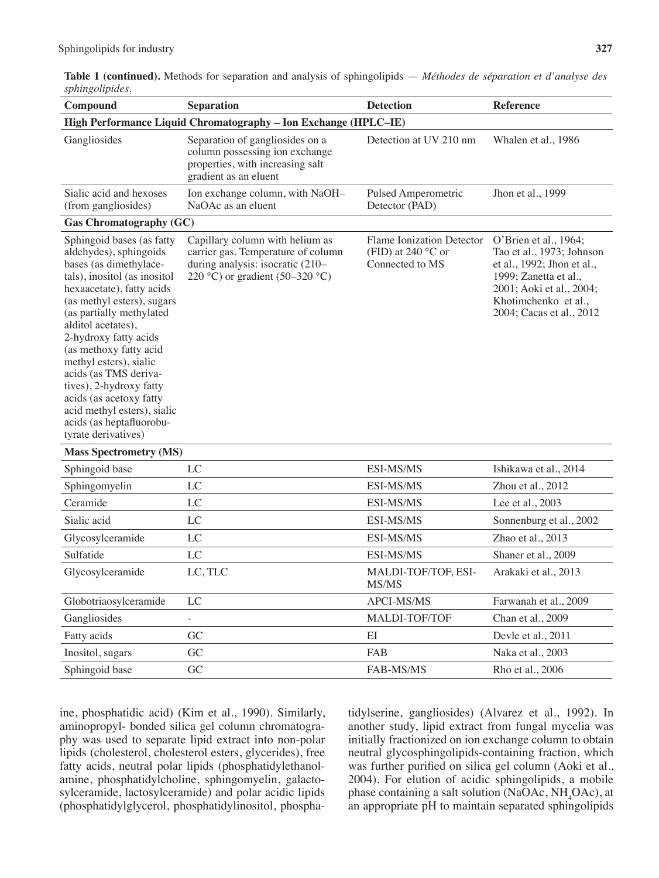**Table 1 (continued).** Methods for separation and analysis of sphingolipids — *Méthodes de séparation et d'analyse des sphingolipides*.

| $\circ$<br>Compound                                                                                                                                                                                                                                                                                                                                                                                                                                                      | <b>Separation</b>                                                                                                                            | <b>Detection</b>                                                             | <b>Reference</b>                                                                                                                                                                          |  |  |
|--------------------------------------------------------------------------------------------------------------------------------------------------------------------------------------------------------------------------------------------------------------------------------------------------------------------------------------------------------------------------------------------------------------------------------------------------------------------------|----------------------------------------------------------------------------------------------------------------------------------------------|------------------------------------------------------------------------------|-------------------------------------------------------------------------------------------------------------------------------------------------------------------------------------------|--|--|
| High Performance Liquid Chromatography - Ion Exchange (HPLC-IE)                                                                                                                                                                                                                                                                                                                                                                                                          |                                                                                                                                              |                                                                              |                                                                                                                                                                                           |  |  |
| Gangliosides                                                                                                                                                                                                                                                                                                                                                                                                                                                             | Separation of gangliosides on a<br>column possessing ion exchange<br>properties, with increasing salt<br>gradient as an eluent               | Detection at UV 210 nm                                                       | Whalen et al., 1986                                                                                                                                                                       |  |  |
| Sialic acid and hexoses<br>(from gangliosides)                                                                                                                                                                                                                                                                                                                                                                                                                           | Ion exchange column, with NaOH-<br>NaOAc as an eluent                                                                                        | Pulsed Amperometric<br>Detector (PAD)                                        | Jhon et al., 1999                                                                                                                                                                         |  |  |
| <b>Gas Chromatography (GC)</b>                                                                                                                                                                                                                                                                                                                                                                                                                                           |                                                                                                                                              |                                                                              |                                                                                                                                                                                           |  |  |
| Sphingoid bases (as fatty<br>aldehydes), sphingoids<br>bases (as dimethylace-<br>tals), inositol (as inositol<br>hexaacetate), fatty acids<br>(as methyl esters), sugars<br>(as partially methylated<br>alditol acetates),<br>2-hydroxy fatty acids<br>(as methoxy fatty acid<br>methyl esters), sialic<br>acids (as TMS deriva-<br>tives), 2-hydroxy fatty<br>acids (as acetoxy fatty<br>acid methyl esters), sialic<br>acids (as heptafluorobu-<br>tyrate derivatives) | Capillary column with helium as<br>carrier gas. Temperature of column<br>during analysis: isocratic (210-<br>220 °C) or gradient (50–320 °C) | Flame Ionization Detector<br>(FID) at 240 $^{\circ}$ C or<br>Connected to MS | O'Brien et al., 1964;<br>Tao et al., 1973; Johnson<br>et al., 1992; Jhon et al.,<br>1999; Zanetta et al.,<br>2001; Aoki et al., 2004;<br>Khotimchenko et al.,<br>2004; Cacas et al., 2012 |  |  |
| <b>Mass Spectrometry (MS)</b>                                                                                                                                                                                                                                                                                                                                                                                                                                            |                                                                                                                                              |                                                                              |                                                                                                                                                                                           |  |  |
| Sphingoid base                                                                                                                                                                                                                                                                                                                                                                                                                                                           | LC                                                                                                                                           | ESI-MS/MS                                                                    | Ishikawa et al., 2014                                                                                                                                                                     |  |  |
| Sphingomyelin                                                                                                                                                                                                                                                                                                                                                                                                                                                            | LC                                                                                                                                           | ESI-MS/MS                                                                    | Zhou et al., 2012                                                                                                                                                                         |  |  |
| Ceramide                                                                                                                                                                                                                                                                                                                                                                                                                                                                 | LC                                                                                                                                           | ESI-MS/MS                                                                    | Lee et al., 2003                                                                                                                                                                          |  |  |
| Sialic acid                                                                                                                                                                                                                                                                                                                                                                                                                                                              | LC                                                                                                                                           | ESI-MS/MS                                                                    | Sonnenburg et al., 2002                                                                                                                                                                   |  |  |
| Glycosylceramide                                                                                                                                                                                                                                                                                                                                                                                                                                                         | LC                                                                                                                                           | ESI-MS/MS                                                                    | Zhao et al., 2013                                                                                                                                                                         |  |  |
| Sulfatide                                                                                                                                                                                                                                                                                                                                                                                                                                                                | LC                                                                                                                                           | ESI-MS/MS                                                                    | Shaner et al., 2009                                                                                                                                                                       |  |  |
| Glycosylceramide                                                                                                                                                                                                                                                                                                                                                                                                                                                         | LC, TLC                                                                                                                                      | MALDI-TOF/TOF, ESI-<br>MS/MS                                                 | Arakaki et al., 2013                                                                                                                                                                      |  |  |
| Globotriaosylceramide                                                                                                                                                                                                                                                                                                                                                                                                                                                    | LC                                                                                                                                           | APCI-MS/MS                                                                   | Farwanah et al., 2009                                                                                                                                                                     |  |  |
| Gangliosides                                                                                                                                                                                                                                                                                                                                                                                                                                                             | $\overline{\phantom{0}}$                                                                                                                     | MALDI-TOF/TOF                                                                | Chan et al., 2009                                                                                                                                                                         |  |  |
| Fatty acids                                                                                                                                                                                                                                                                                                                                                                                                                                                              | GC                                                                                                                                           | EI                                                                           | Devle et al., 2011                                                                                                                                                                        |  |  |
| Inositol, sugars                                                                                                                                                                                                                                                                                                                                                                                                                                                         | GC                                                                                                                                           | FAB                                                                          | Naka et al., 2003                                                                                                                                                                         |  |  |
| Sphingoid base                                                                                                                                                                                                                                                                                                                                                                                                                                                           | ${\rm GC}$                                                                                                                                   | FAB-MS/MS                                                                    | Rho et al., 2006                                                                                                                                                                          |  |  |

ine, phosphatidic acid) (Kim et al., 1990). Similarly, aminopropyl- bonded silica gel column chromatography was used to separate lipid extract into non-polar lipids (cholesterol, cholesterol esters, glycerides), free fatty acids, neutral polar lipids (phosphatidylethanolamine, phosphatidylcholine, sphingomyelin, galactosylceramide, lactosylceramide) and polar acidic lipids (phosphatidylglycerol, phosphatidylinositol, phosphatidylserine, gangliosides) (Alvarez et al., 1992). In another study, lipid extract from fungal mycelia was initially fractionized on ion exchange column to obtain neutral glycosphingolipids-containing fraction, which was further purified on silica gel column (Aoki et al., 2004). For elution of acidic sphingolipids, a mobile phase containing a salt solution (NaOAc,  $NH<sub>4</sub>OAc$ ), at an appropriate pH to maintain separated sphingolipids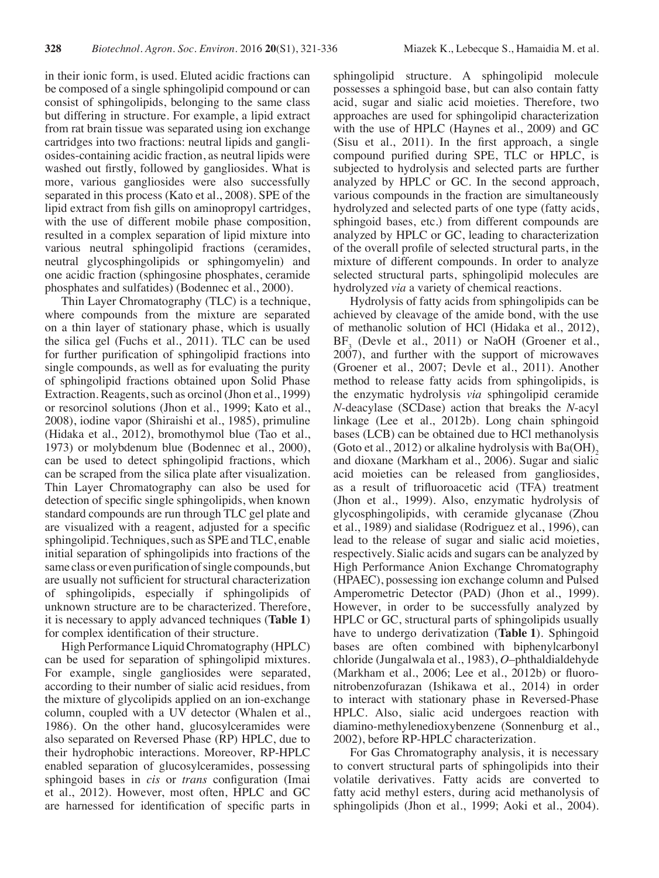in their ionic form, is used. Eluted acidic fractions can be composed of a single sphingolipid compound or can consist of sphingolipids, belonging to the same class but differing in structure. For example, a lipid extract from rat brain tissue was separated using ion exchange cartridges into two fractions: neutral lipids and gangliosides-containing acidic fraction, as neutral lipids were washed out firstly, followed by gangliosides. What is more, various gangliosides were also successfully separated in this process (Kato et al., 2008). SPE of the lipid extract from fish gills on aminopropyl cartridges, with the use of different mobile phase composition, resulted in a complex separation of lipid mixture into various neutral sphingolipid fractions (ceramides, neutral glycosphingolipids or sphingomyelin) and one acidic fraction (sphingosine phosphates, ceramide phosphates and sulfatides) (Bodennec et al., 2000).

Thin Layer Chromatography (TLC) is a technique, where compounds from the mixture are separated on a thin layer of stationary phase, which is usually the silica gel (Fuchs et al., 2011). TLC can be used for further purification of sphingolipid fractions into single compounds, as well as for evaluating the purity of sphingolipid fractions obtained upon Solid Phase Extraction. Reagents, such as orcinol (Jhon et al., 1999) or resorcinol solutions (Jhon et al., 1999; Kato et al., 2008), iodine vapor (Shiraishi et al., 1985), primuline (Hidaka et al., 2012), bromothymol blue (Tao et al., 1973) or molybdenum blue (Bodennec et al., 2000), can be used to detect sphingolipid fractions, which can be scraped from the silica plate after visualization. Thin Layer Chromatography can also be used for detection of specific single sphingolipids, when known standard compounds are run through TLC gel plate and are visualized with a reagent, adjusted for a specific sphingolipid. Techniques, such as SPE and TLC, enable initial separation of sphingolipids into fractions of the same class or even purification of single compounds, but are usually not sufficient for structural characterization of sphingolipids, especially if sphingolipids of unknown structure are to be characterized. Therefore, it is necessary to apply advanced techniques (**Table 1**) for complex identification of their structure.

High Performance Liquid Chromatography (HPLC) can be used for separation of sphingolipid mixtures. For example, single gangliosides were separated, according to their number of sialic acid residues, from the mixture of glycolipids applied on an ion-exchange column, coupled with a UV detector (Whalen et al., 1986). On the other hand, glucosylceramides were also separated on Reversed Phase (RP) HPLC, due to their hydrophobic interactions. Moreover, RP-HPLC enabled separation of glucosylceramides, possessing sphingoid bases in *cis* or *trans* configuration (Imai et al., 2012). However, most often, HPLC and GC are harnessed for identification of specific parts in

sphingolipid structure. A sphingolipid molecule possesses a sphingoid base, but can also contain fatty acid, sugar and sialic acid moieties. Therefore, two approaches are used for sphingolipid characterization with the use of HPLC (Haynes et al., 2009) and GC (Sisu et al., 2011). In the first approach, a single compound purified during SPE, TLC or HPLC, is subjected to hydrolysis and selected parts are further analyzed by HPLC or GC. In the second approach, various compounds in the fraction are simultaneously hydrolyzed and selected parts of one type (fatty acids, sphingoid bases, etc.) from different compounds are analyzed by HPLC or GC, leading to characterization of the overall profile of selected structural parts, in the mixture of different compounds. In order to analyze selected structural parts, sphingolipid molecules are hydrolyzed *via* a variety of chemical reactions.

Hydrolysis of fatty acids from sphingolipids can be achieved by cleavage of the amide bond, with the use of methanolic solution of HCl (Hidaka et al., 2012), BF<sub>3</sub> (Devle et al., 2011) or NaOH (Groener et al., 2007), and further with the support of microwaves (Groener et al., 2007; Devle et al., 2011). Another method to release fatty acids from sphingolipids, is the enzymatic hydrolysis *via* sphingolipid ceramide *N*-deacylase (SCDase) action that breaks the *N*-acyl linkage (Lee et al., 2012b). Long chain sphingoid bases (LCB) can be obtained due to HCl methanolysis (Goto et al., 2012) or alkaline hydrolysis with  $Ba(OH)$ ) and dioxane (Markham et al., 2006). Sugar and sialic acid moieties can be released from gangliosides, as a result of trifluoroacetic acid (TFA) treatment (Jhon et al., 1999). Also, enzymatic hydrolysis of glycosphingolipids, with ceramide glycanase (Zhou et al., 1989) and sialidase (Rodriguez et al., 1996), can lead to the release of sugar and sialic acid moieties, respectively. Sialic acids and sugars can be analyzed by High Performance Anion Exchange Chromatography (HPAEC), possessing ion exchange column and Pulsed Amperometric Detector (PAD) (Jhon et al., 1999). However, in order to be successfully analyzed by HPLC or GC, structural parts of sphingolipids usually have to undergo derivatization (**Table 1**). Sphingoid bases are often combined with biphenylcarbonyl chloride (Jungalwala et al., 1983), *O*–phthaldialdehyde (Markham et al., 2006; Lee et al., 2012b) or fluoronitrobenzofurazan (Ishikawa et al., 2014) in order to interact with stationary phase in Reversed-Phase HPLC. Also, sialic acid undergoes reaction with diamino-methylenedioxybenzene (Sonnenburg et al., 2002), before RP-HPLC characterization.

For Gas Chromatography analysis, it is necessary to convert structural parts of sphingolipids into their volatile derivatives. Fatty acids are converted to fatty acid methyl esters, during acid methanolysis of sphingolipids (Jhon et al., 1999; Aoki et al., 2004).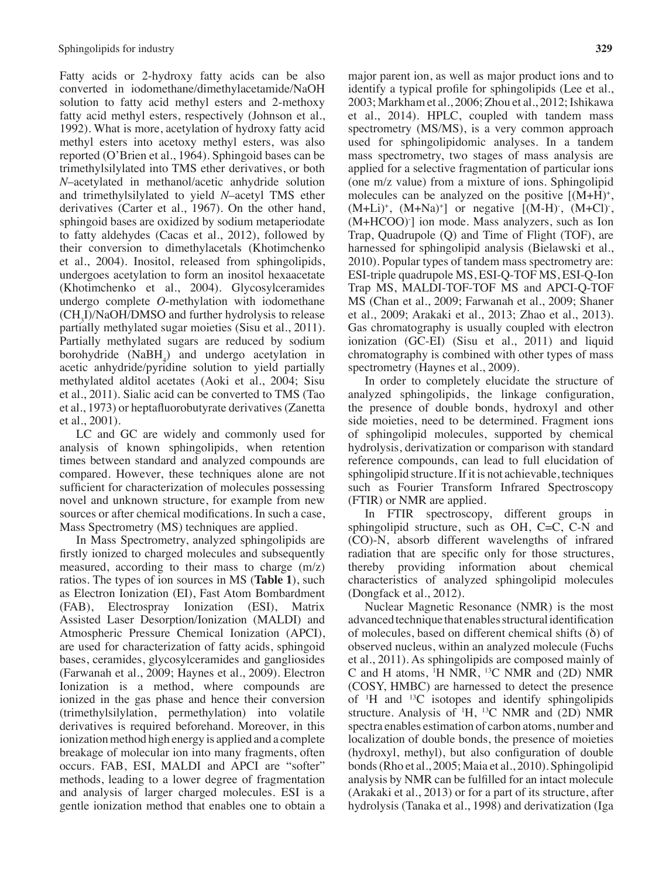Fatty acids or 2-hydroxy fatty acids can be also converted in iodomethane/dimethylacetamide/NaOH solution to fatty acid methyl esters and 2-methoxy fatty acid methyl esters, respectively (Johnson et al., 1992). What is more, acetylation of hydroxy fatty acid methyl esters into acetoxy methyl esters, was also reported (O'Brien et al., 1964). Sphingoid bases can be trimethylsilylated into TMS ether derivatives, or both *N*–acetylated in methanol/acetic anhydride solution and trimethylsilylated to yield *N*–acetyl TMS ether derivatives (Carter et al., 1967). On the other hand, sphingoid bases are oxidized by sodium metaperiodate to fatty aldehydes (Cacas et al., 2012), followed by their conversion to dimethylacetals (Khotimchenko et al., 2004). Inositol, released from sphingolipids, undergoes acetylation to form an inositol hexaacetate (Khotimchenko et al., 2004). Glycosylceramides undergo complete *O*-methylation with iodomethane (CH3 I)/NaOH/DMSO and further hydrolysis to release partially methylated sugar moieties (Sisu et al., 2011). Partially methylated sugars are reduced by sodium borohydride  $(NaBH<sub>4</sub>)$  and undergo acetylation in acetic anhydride/pyridine solution to yield partially methylated alditol acetates (Aoki et al., 2004; Sisu et al., 2011). Sialic acid can be converted to TMS (Tao et al., 1973) or heptafluorobutyrate derivatives(Zanetta et al., 2001).

LC and GC are widely and commonly used for analysis of known sphingolipids, when retention times between standard and analyzed compounds are compared. However, these techniques alone are not sufficient for characterization of molecules possessing novel and unknown structure, for example from new sources or after chemical modifications. In such a case, Mass Spectrometry (MS) techniques are applied.

In Mass Spectrometry, analyzed sphingolipids are firstly ionized to charged molecules and subsequently measured, according to their mass to charge (m/z) ratios. The types of ion sources in MS (**Table 1**), such as Electron Ionization (EI), Fast Atom Bombardment (FAB), Electrospray Ionization (ESI), Matrix Assisted Laser Desorption/Ionization (MALDI) and Atmospheric Pressure Chemical Ionization (APCI), are used for characterization of fatty acids, sphingoid bases, ceramides, glycosylceramides and gangliosides (Farwanah et al., 2009; Haynes et al., 2009). Electron Ionization is a method, where compounds are ionized in the gas phase and hence their conversion (trimethylsilylation, permethylation) into volatile derivatives is required beforehand. Moreover, in this ionization method high energy is applied and a complete breakage of molecular ion into many fragments, often occurs. FAB, ESI, MALDI and APCI are "softer" methods, leading to a lower degree of fragmentation and analysis of larger charged molecules. ESI is a gentle ionization method that enables one to obtain a major parent ion, as well as major product ions and to identify a typical profile for sphingolipids (Lee et al., 2003; Markham et al., 2006; Zhou et al., 2012;Ishikawa et al., 2014). HPLC, coupled with tandem mass spectrometry (MS/MS), is a very common approach used for sphingolipidomic analyses. In a tandem mass spectrometry, two stages of mass analysis are applied for a selective fragmentation of particular ions (one m/z value) from a mixture of ions. Sphingolipid molecules can be analyzed on the positive  $[(M+H)<sup>+</sup>]$ ,  $(M+Li)^+$ ,  $(M+Na)^+$ ] or negative  $[(M-H)$ ,  $(M+Cl)$ , (M+HCOO)- ] ion mode. Mass analyzers, such as Ion Trap, Quadrupole (Q) and Time of Flight (TOF), are harnessed for sphingolipid analysis (Bielawski et al., 2010). Popular types of tandem mass spectrometry are: ESI-triple quadrupole MS, ESI-Q-TOF MS, ESI-Q-Ion Trap MS, MALDI-TOF-TOF MS and APCI-Q-TOF MS (Chan et al., 2009; Farwanah et al., 2009; Shaner et al., 2009; Arakaki et al., 2013; Zhao et al., 2013). Gas chromatography is usually coupled with electron ionization (GC-EI) (Sisu et al., 2011) and liquid chromatography is combined with other types of mass spectrometry (Haynes et al., 2009).

In order to completely elucidate the structure of analyzed sphingolipids, the linkage configuration, the presence of double bonds, hydroxyl and other side moieties, need to be determined. Fragment ions of sphingolipid molecules, supported by chemical hydrolysis, derivatization or comparison with standard reference compounds, can lead to full elucidation of sphingolipid structure. If it is not achievable, techniques such as Fourier Transform Infrared Spectroscopy (FTIR) or NMR are applied.

In FTIR spectroscopy, different groups in sphingolipid structure, such as OH, C=C, C-N and (CO)-N, absorb different wavelengths of infrared radiation that are specific only for those structures, thereby providing information about chemical characteristics of analyzed sphingolipid molecules (Dongfack et al., 2012).

Nuclear Magnetic Resonance (NMR) is the most advanced technique that enables structural identification of molecules, based on different chemical shifts  $(\delta)$  of observed nucleus, within an analyzed molecule (Fuchs et al., 2011). As sphingolipids are composed mainly of C and H atoms, <sup>1</sup> H NMR, 13C NMR and (2D) NMR (COSY, HMBC) are harnessed to detect the presence of <sup>1</sup> H and 13C isotopes and identify sphingolipids structure. Analysis of <sup>1</sup> H, 13C NMR and (2D) NMR spectra enables estimation of carbon atoms, number and localization of double bonds, the presence of moieties (hydroxyl, methyl), but also configuration of double bonds(Rho et al., 2005; Maia et al., 2010). Sphingolipid analysis by NMR can be fulfilled for an intact molecule (Arakaki et al., 2013) or for a part of its structure, after hydrolysis (Tanaka et al., 1998) and derivatization (Iga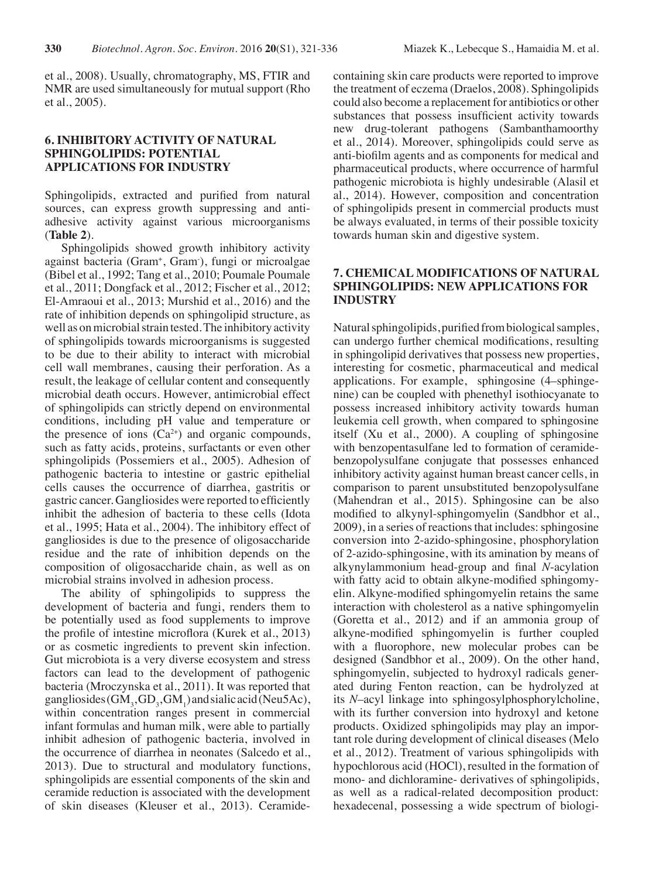et al., 2008). Usually, chromatography, MS, FTIR and NMR are used simultaneously for mutual support (Rho et al., 2005).

## **6. INHIBITORY ACTIVITY OF NATURAL SPHINGOLIPIDS: POTENTIAL APPLICATIONS FOR INDUSTRY**

Sphingolipids, extracted and purified from natural sources, can express growth suppressing and antiadhesive activity against various microorganisms (**Table 2**).

Sphingolipids showed growth inhibitory activity against bacteria (Gram+ , Gram- ), fungi or microalgae (Bibel et al., 1992; Tang et al., 2010; Poumale Poumale et al., 2011; Dongfack et al., 2012; Fischer et al., 2012; El-Amraoui et al., 2013; Murshid et al., 2016) and the rate of inhibition depends on sphingolipid structure, as well as on microbial strain tested. The inhibitory activity of sphingolipids towards microorganisms is suggested to be due to their ability to interact with microbial cell wall membranes, causing their perforation. As a result, the leakage of cellular content and consequently microbial death occurs. However, antimicrobial effect of sphingolipids can strictly depend on environmental conditions, including pH value and temperature or the presence of ions  $(Ca^{2+})$  and organic compounds, such as fatty acids, proteins, surfactants or even other sphingolipids (Possemiers et al., 2005). Adhesion of pathogenic bacteria to intestine or gastric epithelial cells causes the occurrence of diarrhea, gastritis or gastric cancer. Gangliosides were reported to efficiently inhibit the adhesion of bacteria to these cells (Idota et al., 1995; Hata et al., 2004). The inhibitory effect of gangliosides is due to the presence of oligosaccharide residue and the rate of inhibition depends on the composition of oligosaccharide chain, as well as on microbial strains involved in adhesion process.

The ability of sphingolipids to suppress the development of bacteria and fungi, renders them to be potentially used as food supplements to improve the profile of intestine microflora (Kurek et al., 2013) or as cosmetic ingredients to prevent skin infection. Gut microbiota is a very diverse ecosystem and stress factors can lead to the development of pathogenic bacteria (Mroczynska et al., 2011). It was reported that gangliosides  $(GM_3, GD_3,GM_1)$  and sialic acid (Neu5Ac), within concentration ranges present in commercial infant formulas and human milk, were able to partially inhibit adhesion of pathogenic bacteria, involved in the occurrence of diarrhea in neonates (Salcedo et al., 2013). Due to structural and modulatory functions, sphingolipids are essential components of the skin and ceramide reduction is associated with the development of skin diseases (Kleuser et al., 2013). Ceramidecontaining skin care products were reported to improve the treatment of eczema (Draelos, 2008). Sphingolipids could also become a replacement for antibiotics or other substances that possess insufficient activity towards new drug-tolerant pathogens (Sambanthamoorthy et al., 2014). Moreover, sphingolipids could serve as anti-biofilm agents and as components for medical and pharmaceutical products, where occurrence of harmful pathogenic microbiota is highly undesirable (Alasil et al., 2014). However, composition and concentration of sphingolipids present in commercial products must be always evaluated, in terms of their possible toxicity towards human skin and digestive system.

## **7. CHEMICAL MODIFICATIONS OF NATURAL SPHINGOLIPIDS: NEW APPLICATIONS FOR INDUSTRY**

Natural sphingolipids, purified from biological samples, can undergo further chemical modifications, resulting in sphingolipid derivatives that possess new properties, interesting for cosmetic, pharmaceutical and medical applications. For example, sphingosine (4–sphingenine) can be coupled with phenethyl isothiocyanate to possess increased inhibitory activity towards human leukemia cell growth, when compared to sphingosine itself (Xu et al., 2000). A coupling of sphingosine with benzopentasulfane led to formation of ceramidebenzopolysulfane conjugate that possesses enhanced inhibitory activity against human breast cancer cells, in comparison to parent unsubstituted benzopolysulfane (Mahendran et al., 2015). Sphingosine can be also modified to alkynyl-sphingomyelin (Sandbhor et al., 2009), in a series of reactions that includes: sphingosine conversion into 2-azido-sphingosine, phosphorylation of 2-azido-sphingosine, with its amination by means of alkynylammonium head-group and final *N*-acylation with fatty acid to obtain alkyne-modified sphingomyelin. Alkyne-modified sphingomyelin retains the same interaction with cholesterol as a native sphingomyelin (Goretta et al., 2012) and if an ammonia group of alkyne-modified sphingomyelin is further coupled with a fluorophore, new molecular probes can be designed (Sandbhor et al., 2009). On the other hand, sphingomyelin, subjected to hydroxyl radicals generated during Fenton reaction, can be hydrolyzed at its *N*–acyl linkage into sphingosylphosphorylcholine, with its further conversion into hydroxyl and ketone products. Oxidized sphingolipids may play an important role during development of clinical diseases (Melo et al., 2012). Treatment of various sphingolipids with hypochlorous acid (HOCl), resulted in the formation of mono- and dichloramine- derivatives of sphingolipids, as well as a radical-related decomposition product: hexadecenal, possessing a wide spectrum of biologi-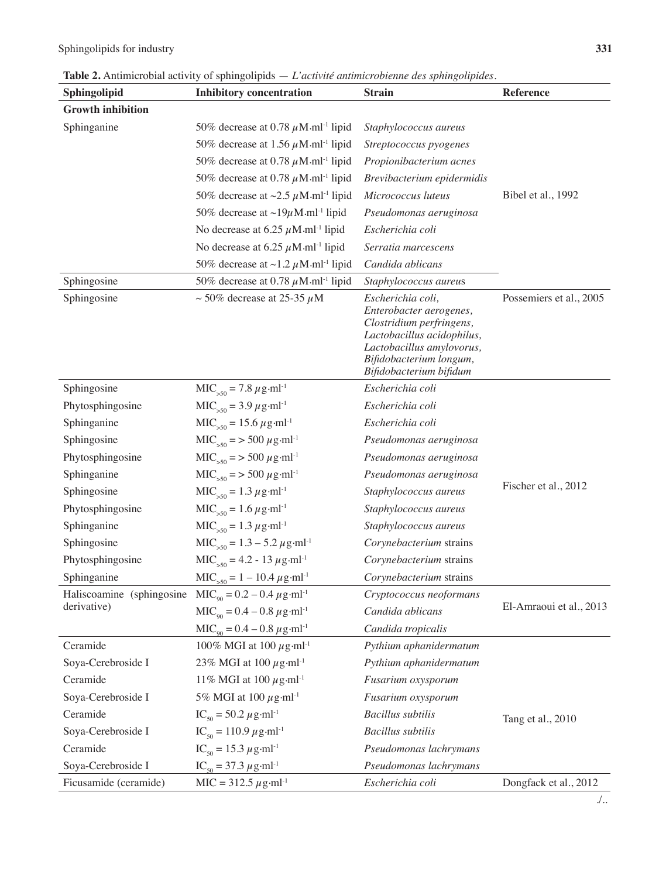| Sphingolipid              | <b>Inhibitory concentration</b>                                   | <b>Strain</b>                                                                                                                                                                             | <b>Reference</b>        |
|---------------------------|-------------------------------------------------------------------|-------------------------------------------------------------------------------------------------------------------------------------------------------------------------------------------|-------------------------|
| <b>Growth inhibition</b>  |                                                                   |                                                                                                                                                                                           |                         |
| Sphinganine               | 50% decrease at 0.78 $\mu$ M·ml <sup>-1</sup> lipid               | Staphylococcus aureus                                                                                                                                                                     |                         |
|                           | 50% decrease at 1.56 $\mu$ M·ml <sup>-1</sup> lipid               | Streptococcus pyogenes                                                                                                                                                                    |                         |
|                           | 50% decrease at 0.78 $\mu$ M ml <sup>-1</sup> lipid               | Propionibacterium acnes                                                                                                                                                                   |                         |
|                           | 50% decrease at 0.78 $\mu$ M·ml <sup>-1</sup> lipid               | Brevibacterium epidermidis                                                                                                                                                                |                         |
|                           | 50% decrease at $\sim$ 2.5 $\mu$ M·ml <sup>-1</sup> lipid         | Micrococcus luteus                                                                                                                                                                        | Bibel et al., 1992      |
|                           | 50% decrease at $\sim$ 19 $\mu$ M·ml <sup>-1</sup> lipid          | Pseudomonas aeruginosa                                                                                                                                                                    |                         |
|                           | No decrease at 6.25 $\mu$ M·ml <sup>-1</sup> lipid                | Escherichia coli                                                                                                                                                                          |                         |
|                           | No decrease at 6.25 $\mu$ M·ml <sup>-1</sup> lipid                | Serratia marcescens                                                                                                                                                                       |                         |
|                           | 50% decrease at $\sim$ 1.2 $\mu$ M·ml <sup>-1</sup> lipid         | Candida ablicans                                                                                                                                                                          |                         |
| Sphingosine               | 50% decrease at 0.78 $\mu$ M·ml <sup>-1</sup> lipid               | Staphylococcus aureus                                                                                                                                                                     |                         |
| Sphingosine               | $\sim$ 50% decrease at 25-35 $\mu$ M                              | Escherichia coli,<br>Enterobacter aerogenes,<br>Clostridium perfringens,<br>Lactobacillus acidophilus,<br>Lactobacillus amylovorus,<br>Bifidobacterium longum,<br>Bifidobacterium bifidum | Possemiers et al., 2005 |
| Sphingosine               | $MIC50 = 7.8 \mu g·ml-1$                                          | Escherichia coli                                                                                                                                                                          |                         |
| Phytosphingosine          | $MIC50 = 3.9 \mu g·ml-1$                                          | Escherichia coli                                                                                                                                                                          |                         |
| Sphinganine               | $MIC>50 = 15.6 \,\mu g \cdot ml^{-1}$                             | Escherichia coli                                                                                                                                                                          |                         |
| Sphingosine               | $MIC>50$ = > 500 $\mu$ g·ml <sup>-1</sup>                         | Pseudomonas aeruginosa                                                                                                                                                                    |                         |
| Phytosphingosine          | $MIC_{50}$ = > 500 $\mu$ g·ml <sup>-1</sup>                       | Pseudomonas aeruginosa                                                                                                                                                                    |                         |
| Sphinganine               | $MIC>50$ = > 500 $\mu$ g·ml <sup>-1</sup>                         | Pseudomonas aeruginosa                                                                                                                                                                    |                         |
| Sphingosine               | $MIC>50 = 1.3 \mu g \cdot ml^{-1}$                                | Staphylococcus aureus                                                                                                                                                                     | Fischer et al., 2012    |
| Phytosphingosine          | $MIC>50 = 1.6 \mu g·ml-1$                                         | Staphylococcus aureus                                                                                                                                                                     |                         |
| Sphinganine               | $MIC>50 = 1.3 \mu g \cdot ml^{-1}$                                | Staphylococcus aureus                                                                                                                                                                     |                         |
| Sphingosine               | $MIC50 = 1.3 - 5.2 \mu g·ml-1$                                    | Corynebacterium strains                                                                                                                                                                   |                         |
| Phytosphingosine          | $MIC>50 = 4.2 - 13 \mu g \cdot ml^{-1}$                           | Corynebacterium strains                                                                                                                                                                   |                         |
| Sphinganine               | $MIC>50 = 1 - 10.4 \mu g·ml-1$                                    | Corynebacterium strains                                                                                                                                                                   |                         |
| Haliscoamine (sphingosine | $MIC_{\scriptscriptstyle QO} = 0.2 - 0.4 \ \mu g \cdot ml^{-1}$   | Cryptococcus neoformans                                                                                                                                                                   |                         |
| derivative)               | $MIC_{\text{oo}} = 0.4 - 0.8 \ \mu \text{g} \cdot \text{ml}^{-1}$ | Candida ablicans                                                                                                                                                                          | El-Amraoui et al., 2013 |
|                           | $MIC_{q0} = 0.4 - 0.8 \ \mu g \cdot ml^{-1}$                      | Candida tropicalis                                                                                                                                                                        |                         |
| Ceramide                  | 100% MGI at 100 $\mu$ g·ml <sup>-1</sup>                          | Pythium aphanidermatum                                                                                                                                                                    |                         |
| Soya-Cerebroside I        | 23% MGI at 100 $\mu$ g·ml <sup>-1</sup>                           | Pythium aphanidermatum                                                                                                                                                                    |                         |
| Ceramide                  | 11% MGI at 100 $\mu$ g·ml <sup>-1</sup>                           | Fusarium oxysporum                                                                                                                                                                        |                         |
| Soya-Cerebroside I        | 5% MGI at 100 $\mu$ g·ml <sup>-1</sup>                            | Fusarium oxysporum                                                                                                                                                                        |                         |
| Ceramide                  | $IC_{50} = 50.2 \ \mu g \cdot ml^{-1}$                            | <b>Bacillus</b> subtilis                                                                                                                                                                  | Tang et al., 2010       |
| Soya-Cerebroside I        | $IC_{50} = 110.9 \,\mu\text{g}\cdot\text{ml}^{-1}$                | <b>Bacillus</b> subtilis                                                                                                                                                                  |                         |
| Ceramide                  | $IC_{50} = 15.3 \ \mu g \cdot ml^{-1}$                            | Pseudomonas lachrymans                                                                                                                                                                    |                         |
| Soya-Cerebroside I        | $IC_{50} = 37.3 \ \mu \text{g} \cdot \text{m}l^{-1}$              | Pseudomonas lachrymans                                                                                                                                                                    |                         |
| Ficusamide (ceramide)     | $MIC = 312.5 \,\mu g\cdot ml^{-1}$                                | Escherichia coli                                                                                                                                                                          | Dongfack et al., 2012   |

./..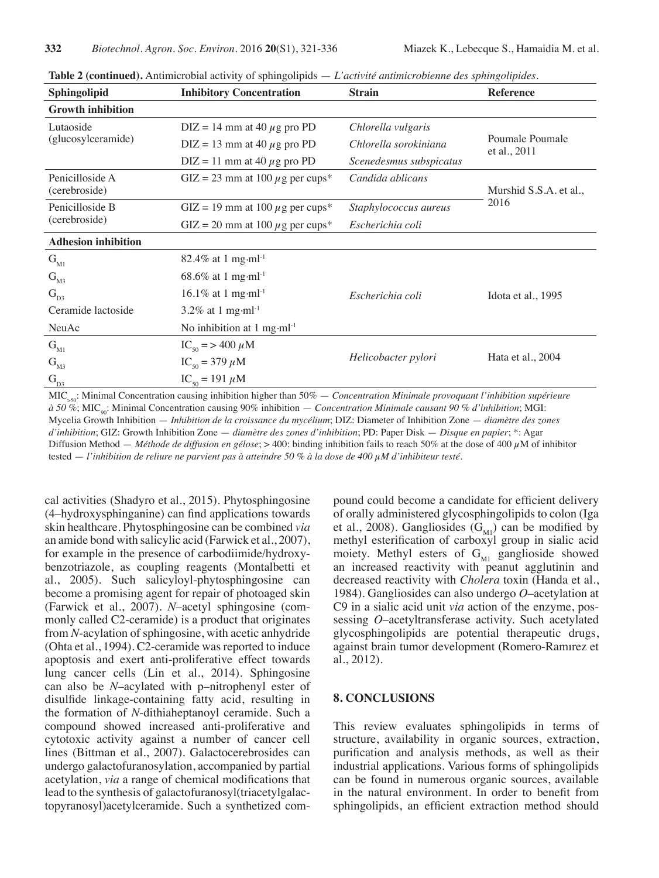| Sphingolipid                     | <b>Inhibitory Concentration</b>                  | <b>Strain</b>           | <b>Reference</b>                |
|----------------------------------|--------------------------------------------------|-------------------------|---------------------------------|
| <b>Growth inhibition</b>         |                                                  |                         |                                 |
| Lutaoside<br>(glucosylceramide)  | $DIZ = 14$ mm at 40 $\mu$ g pro PD               | Chlorella vulgaris      | Poumale Poumale<br>et al., 2011 |
|                                  | $DIZ = 13$ mm at 40 $\mu$ g pro PD               | Chlorella sorokiniana   |                                 |
|                                  | $DIZ = 11$ mm at 40 $\mu$ g pro PD               | Scenedesmus subspicatus |                                 |
| Penicilloside A<br>(cerebroside) | GIZ = 23 mm at 100 $\mu$ g per cups*             | Candida ablicans        | Murshid S.S.A. et al.,          |
| Penicilloside B                  | GIZ = 19 mm at 100 $\mu$ g per cups*             | Staphylococcus aureus   | 2016                            |
| (cerebroside)                    | GIZ = 20 mm at 100 $\mu$ g per cups <sup>*</sup> | Escherichia coli        |                                 |
| <b>Adhesion inhibition</b>       |                                                  |                         |                                 |
| $G_{M1}$                         | 82.4% at 1 mg·ml <sup>-1</sup>                   |                         |                                 |
| $G_{M3}$                         | 68.6% at 1 mg·ml <sup>-1</sup>                   |                         |                                 |
| $G_{D3}$                         | 16.1% at 1 mg·ml <sup>-1</sup>                   | Escherichia coli        | Idota et al., 1995              |
| Ceramide lactoside               | 3.2% at 1 mg $\cdot$ ml <sup>-1</sup>            |                         |                                 |
| NeuAc                            | No inhibition at 1 mg·m $l^{-1}$                 |                         |                                 |
| $G_{M1}$                         | $IC_{50}$ = > 400 $\mu$ M                        | Helicobacter pylori     | Hata et al., 2004               |
| $G_{M3}$                         | $IC_{50} = 379 \mu M$                            |                         |                                 |
| $G_{D3}$                         | $IC_{50} = 191 \mu M$                            |                         |                                 |

**Table 2 (continued).** Antimicrobial activity of sphingolipids — *L'activité antimicrobienne des sphingolipides.*

MIC>50: Minimal Concentration causing inhibition higher than 50% — *Concentration Minimale provoquant l'inhibition supérieure à 50 %*; MIC90: Minimal Concentration causing 90% inhibition — *Concentration Minimale causant 90 % d'inhibition*; MGI: Mycelia Growth Inhibition — *Inhibition de la croissance du mycélium*; DIZ: Diameter of Inhibition Zone — *diamètre des zones d'inhibition*; GIZ: Growth Inhibition Zone — *diamètre des zones d'inhibition*; PD: Paper Disk — *Disque en papier*; \*: Agar Diffusion Method — *Méthode de diffusion en gélose*; > 400: binding inhibition fails to reach 50% at the dose of 400 µM of inhibitor tested — *l'inhibition de reliure ne parvient pas à atteindre 50 % à la dose de 400 µM d'inhibiteur testé.*

cal activities (Shadyro et al., 2015). Phytosphingosine (4–hydroxysphinganine) can find applications towards skin healthcare. Phytosphingosine can be combined *via* an amide bond with salicylic acid (Farwick et al., 2007), for example in the presence of carbodiimide/hydroxybenzotriazole, as coupling reagents (Montalbetti et al., 2005). Such salicyloyl-phytosphingosine can become a promising agent for repair of photoaged skin (Farwick et al., 2007). *N*–acetyl sphingosine (commonly called C2-ceramide) is a product that originates from *N*-acylation of sphingosine, with acetic anhydride (Ohta et al., 1994). C2-ceramide was reported to induce apoptosis and exert anti-proliferative effect towards lung cancer cells (Lin et al., 2014). Sphingosine can also be *N*–acylated with p–nitrophenyl ester of disulfide linkage-containing fatty acid, resulting in the formation of *N*-dithiaheptanoyl ceramide. Such a compound showed increased anti-proliferative and cytotoxic activity against a number of cancer cell lines (Bittman et al., 2007). Galactocerebrosides can undergo galactofuranosylation, accompanied by partial acetylation, *via* a range of chemical modifications that lead to the synthesis of galactofuranosyl(triacetylgalactopyranosyl)acetylceramide. Such a synthetized com-

pound could become a candidate for efficient delivery of orally administered glycosphingolipids to colon (Iga et al., 2008). Gangliosides  $(G_{\text{M1}})$  can be modified by methyl esterification of carboxyl group in sialic acid moiety. Methyl esters of  $G_{\text{M1}}$  ganglioside showed an increased reactivity with peanut agglutinin and decreased reactivity with *Cholera* toxin (Handa et al., 1984). Gangliosides can also undergo *O*–acetylation at C9 in a sialic acid unit *via* action of the enzyme, possessing *O*–acetyltransferase activity. Such acetylated glycosphingolipids are potential therapeutic drugs, against brain tumor development (Romero-Ramırez et al., 2012).

#### **8. CONCLUSIONS**

This review evaluates sphingolipids in terms of structure, availability in organic sources, extraction, purification and analysis methods, as well as their industrial applications. Various forms of sphingolipids can be found in numerous organic sources, available in the natural environment. In order to benefit from sphingolipids, an efficient extraction method should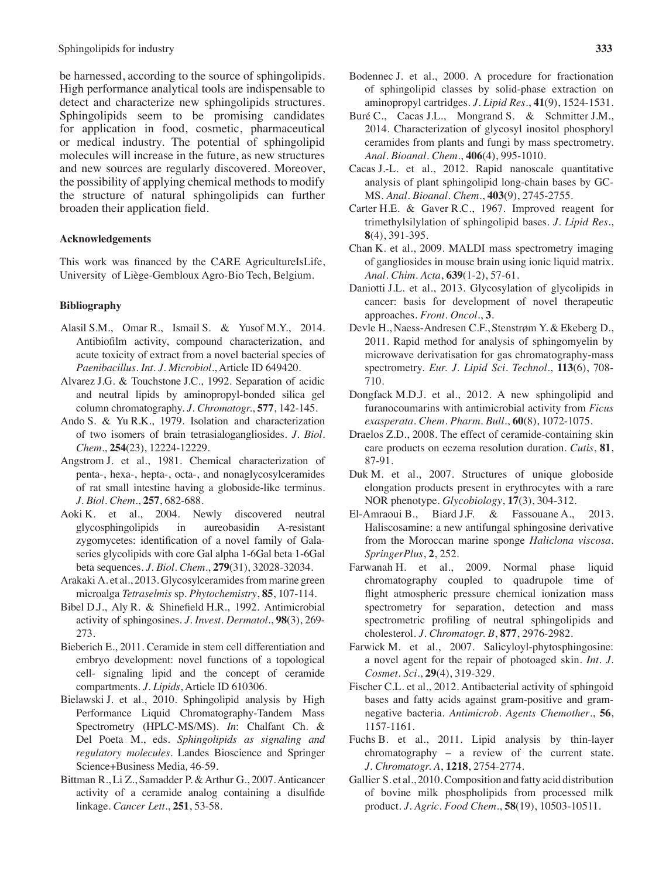#### Sphingolipids for industry **333**

be harnessed, according to the source of sphingolipids. High performance analytical tools are indispensable to detect and characterize new sphingolipids structures. Sphingolipids seem to be promising candidates for application in food, cosmetic, pharmaceutical or medical industry. The potential of sphingolipid molecules will increase in the future, as new structures and new sources are regularly discovered. Moreover, the possibility of applying chemical methods to modify the structure of natural sphingolipids can further broaden their application field.

#### **Acknowledgements**

This work was financed by the CARE AgricultureIsLife, University of Liège-Gembloux Agro-Bio Tech, Belgium.

#### **Bibliography**

- Alasil S.M., Omar R., Ismail S. & Yusof M.Y., 2014. Antibiofilm activity, compound characterization, and acute toxicity of extract from a novel bacterial species of *Paenibacillus*. *Int. J. Microbiol*., Article ID 649420.
- Alvarez J.G. & Touchstone J.C., 1992. Separation of acidic and neutral lipids by aminopropyl-bonded silica gel column chromatography. *J. Chromatogr.*, **577**, 142-145.
- Ando S. & Yu R.K., 1979. Isolation and characterization of two isomers of brain tetrasialogangliosides. *J. Biol. Chem*., **254**(23), 12224-12229.
- Angstrom J. et al., 1981. Chemical characterization of penta-, hexa-, hepta-, octa-, and nonaglycosylceramides of rat small intestine having a globoside-like terminus. *J. Biol. Chem*., **257**, 682-688.
- Aoki K. et al., 2004. Newly discovered neutral glycosphingolipids in aureobasidin A-resistant zygomycetes: identification of a novel family of Galaseries glycolipids with core Gal alpha 1-6Gal beta 1-6Gal beta sequences. *J. Biol. Chem*., **279**(31), 32028-32034.
- Arakaki A. et al., 2013. Glycosylceramides from marine green microalga *Tetraselmis* sp. *Phytochemistry*, **85**, 107-114.
- Bibel D.J., Aly R. & Shinefield H.R., 1992. Antimicrobial activity of sphingosines. *J. Invest. Dermatol*., **98**(3), 269- 273.
- Bieberich E., 2011. Ceramide in stem cell differentiation and embryo development: novel functions of a topological cell- signaling lipid and the concept of ceramide compartments. *J. Lipids*, Article ID 610306.
- Bielawski J. et al., 2010. Sphingolipid analysis by High Performance Liquid Chromatography-Tandem Mass Spectrometry (HPLC-MS/MS). *In*: Chalfant Ch. & Del Poeta M., eds. *Sphingolipids as signaling and regulatory molecules.* Landes Bioscience and Springer Science+Business Media*,* 46-59.
- Bittman R., Li Z., Samadder P. & Arthur G., 2007. Anticancer activity of a ceramide analog containing a disulfide linkage. *Cancer Lett*., **251**, 53-58.
- Bodennec J. et al., 2000. A procedure for fractionation of sphingolipid classes by solid-phase extraction on aminopropyl cartridges. *J. Lipid Res*., **41**(9), 1524-1531.
- Buré C., Cacas J.L., Mongrand S. & Schmitter J.M., 2014. Characterization of glycosyl inositol phosphoryl ceramides from plants and fungi by mass spectrometry. *Anal. Bioanal. Chem*., **406**(4), 995-1010.
- Cacas J.-L. et al., 2012. Rapid nanoscale quantitative analysis of plant sphingolipid long-chain bases by GC-MS. *Anal. Bioanal. Chem*., **403**(9), 2745-2755.
- Carter H.E. & Gaver R.C., 1967. Improved reagent for trimethylsilylation of sphingolipid bases. *J. Lipid Res*., **8**(4), 391-395.
- Chan K. et al., 2009. MALDI mass spectrometry imaging of gangliosides in mouse brain using ionic liquid matrix. *Anal. Chim. Acta*, **639**(1-2), 57-61.
- Daniotti J.L. et al., 2013. Glycosylation of glycolipids in cancer: basis for development of novel therapeutic approaches. *Front. Oncol*., **3**.
- Devle H., Naess-Andresen C.F., Stenstrøm Y. & Ekeberg D., 2011. Rapid method for analysis of sphingomyelin by microwave derivatisation for gas chromatography-mass spectrometry. *Eur. J. Lipid Sci. Technol*., **113**(6), 708- 710.
- Dongfack M.D.J. et al., 2012. A new sphingolipid and furanocoumarins with antimicrobial activity from *Ficus exasperata*. *Chem. Pharm. Bull*., **60**(8), 1072-1075.
- Draelos Z.D., 2008. The effect of ceramide-containing skin care products on eczema resolution duration. *Cutis*, **81**, 87-91.
- Duk M. et al., 2007. Structures of unique globoside elongation products present in erythrocytes with a rare NOR phenotype. *Glycobiology*, **17**(3), 304-312.
- El-Amraoui B., Biard J.F. & Fassouane A., 2013. Haliscosamine: a new antifungal sphingosine derivative from the Moroccan marine sponge *Haliclona viscosa*. *SpringerPlus*, **2**, 252.
- Farwanah H. et al., 2009. Normal phase liquid chromatography coupled to quadrupole time of flight atmospheric pressure chemical ionization mass spectrometry for separation, detection and mass spectrometric profiling of neutral sphingolipids and cholesterol. *J. Chromatogr. B*, **877**, 2976-2982.
- Farwick M. et al., 2007. Salicyloyl-phytosphingosine: a novel agent for the repair of photoaged skin. *Int. J. Cosmet. Sci*., **29**(4), 319-329.
- Fischer C.L. et al., 2012. Antibacterial activity of sphingoid bases and fatty acids against gram-positive and gramnegative bacteria. *Antimicrob. Agents Chemother*., **56**, 1157-1161.
- Fuchs B. et al., 2011. Lipid analysis by thin-layer chromatography – a review of the current state. *J. Chromatogr. A*, **1218**, 2754-2774.
- Gallier S. et al., 2010.Composition and fatty acid distribution of bovine milk phospholipids from processed milk product. *J. Agric. Food Chem*., **58**(19), 10503-10511.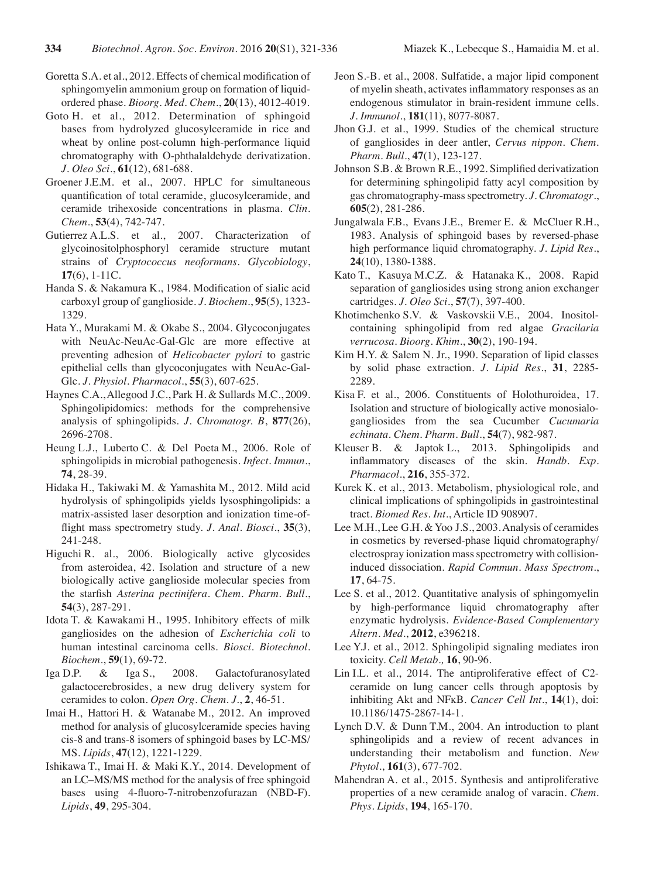- Goretta S.A. et al., 2012. Effects of chemical modification of sphingomyelin ammonium group on formation of liquidordered phase. *Bioorg. Med. Chem*., **20**(13), 4012-4019.
- Goto H. et al., 2012. Determination of sphingoid bases from hydrolyzed glucosylceramide in rice and wheat by online post-column high-performance liquid chromatography with O-phthalaldehyde derivatization. *J. Oleo Sci*., **61**(12), 681-688.
- Groener J.E.M. et al., 2007. HPLC for simultaneous quantification of total ceramide, glucosylceramide, and ceramide trihexoside concentrations in plasma. *Clin. Chem*., **53**(4), 742-747.
- Gutierrez A.L.S. et al., 2007. Characterization of glycoinositolphosphoryl ceramide structure mutant strains of *Cryptococcus neoformans*. *Glycobiology*, **17**(6), 1-11C.
- Handa S. & Nakamura K., 1984. Modification of sialic acid carboxyl group of ganglioside. *J. Biochem*., **95**(5), 1323- 1329.
- Hata Y., Murakami M. & Okabe S., 2004. Glycoconjugates with NeuAc-NeuAc-Gal-Glc are more effective at preventing adhesion of *Helicobacter pylori* to gastric epithelial cells than glycoconjugates with NeuAc-Gal-Glc. *J. Physiol. Pharmacol*., **55**(3), 607-625.
- Haynes C.A.,Allegood J.C., Park H. & Sullards M.C., 2009. Sphingolipidomics: methods for the comprehensive analysis of sphingolipids. *J. Chromatogr. B*, **877**(26), 2696-2708.
- Heung L.J., Luberto C. & Del Poeta M., 2006. Role of sphingolipids in microbial pathogenesis. *Infect. Immun*., **74**, 28-39.
- Hidaka H., Takiwaki M. & Yamashita M., 2012. Mild acid hydrolysis of sphingolipids yields lysosphingolipids: a matrix-assisted laser desorption and ionization time-offlight mass spectrometry study. *J. Anal. Biosci*., **35**(3), 241-248.
- Higuchi R. al., 2006. Biologically active glycosides from asteroidea, 42. Isolation and structure of a new biologically active ganglioside molecular species from the starfish *Asterina pectinifera*. *Chem. Pharm. Bull*., **54**(3), 287-291.
- Idota T. & Kawakami H., 1995. Inhibitory effects of milk gangliosides on the adhesion of *Escherichia coli* to human intestinal carcinoma cells. *Biosci. Biotechnol. Biochem*., **59**(1), 69-72.
- Iga D.P. & Iga S., 2008. Galactofuranosylated galactocerebrosides, a new drug delivery system for ceramides to colon. *Open Org. Chem. J*., **2**, 46-51.
- Imai H., Hattori H. & Watanabe M., 2012. An improved method for analysis of glucosylceramide species having cis-8 and trans-8 isomers of sphingoid bases by LC-MS/ MS. *Lipids*, **47**(12), 1221-1229.
- Ishikawa T., Imai H. & Maki K.Y., 2014. Development of an LC–MS/MS method for the analysis of free sphingoid bases using 4-fluoro-7-nitrobenzofurazan (NBD-F). *Lipids*, **49**, 295-304.
- Jeon S.-B. et al., 2008. Sulfatide, a major lipid component of myelin sheath, activates inflammatory responses as an endogenous stimulator in brain-resident immune cells. *J. Immunol*., **181**(11), 8077-8087.
- Jhon G.J. et al., 1999. Studies of the chemical structure of gangliosides in deer antler, *Cervus nippon*. *Chem. Pharm. Bull*., **47**(1), 123-127.
- Johnson S.B. & Brown R.E., 1992. Simplified derivatization for determining sphingolipid fatty acyl composition by gas chromatography-massspectrometry. *J. Chromatogr*., **605**(2), 281-286.
- Jungalwala F.B., Evans J.E., Bremer E. & McCluer R.H., 1983. Analysis of sphingoid bases by reversed-phase high performance liquid chromatography. *J. Lipid Res*., **24**(10), 1380-1388.
- Kato T., Kasuya M.C.Z. & Hatanaka K., 2008. Rapid separation of gangliosides using strong anion exchanger cartridges. *J. Oleo Sci*., **57**(7), 397-400.
- Khotimchenko S.V. & Vaskovskii V.E., 2004. Inositolcontaining sphingolipid from red algae *Gracilaria verrucosa*. *Bioorg. Khim.*, **30**(2), 190-194.
- Kim H.Y. & Salem N. Jr., 1990. Separation of lipid classes by solid phase extraction. *J. Lipid Res*., **31**, 2285- 2289.
- Kisa F. et al., 2006. Constituents of Holothuroidea, 17. Isolation and structure of biologically active monosialogangliosides from the sea Cucumber *Cucumaria echinata*. *Chem. Pharm. Bull*., **54**(7), 982-987.
- Kleuser B. & Japtok L., 2013. Sphingolipids and inflammatory diseases of the skin. *Handb. Exp. Pharmacol.*, **216**, 355-372.
- Kurek K. et al., 2013. Metabolism, physiological role, and clinical implications of sphingolipids in gastrointestinal tract. *Biomed Res. Int*., Article ID 908907.
- Lee M.H., Lee G.H. & Yoo J.S., 2003. Analysis of ceramides in cosmetics by reversed-phase liquid chromatography/ electrospray ionization massspectrometry with collisioninduced dissociation. *Rapid Commun. Mass Spectrom.*, **17**, 64-75.
- Lee S. et al., 2012. Quantitative analysis of sphingomyelin by high-performance liquid chromatography after enzymatic hydrolysis. *Evidence-Based Complementary Altern. Med*., **2012**, e396218.
- Lee Y.J. et al., 2012. Sphingolipid signaling mediates iron toxicity. *Cell Metab.,* **16**, 90-96.
- Lin I.L. et al., 2014. The antiproliferative effect of C2 ceramide on lung cancer cells through apoptosis by inhibiting Akt and NFĸB. *Cancer Cell Int*., **14**(1), doi: 10.1186/1475-2867-14-1.
- Lynch D.V. & Dunn T.M., 2004. An introduction to plant sphingolipids and a review of recent advances in understanding their metabolism and function. *New Phytol.*, **161**(3), 677-702.
- Mahendran A. et al., 2015. Synthesis and antiproliferative properties of a new ceramide analog of varacin. *Chem. Phys. Lipids*, **194**, 165-170.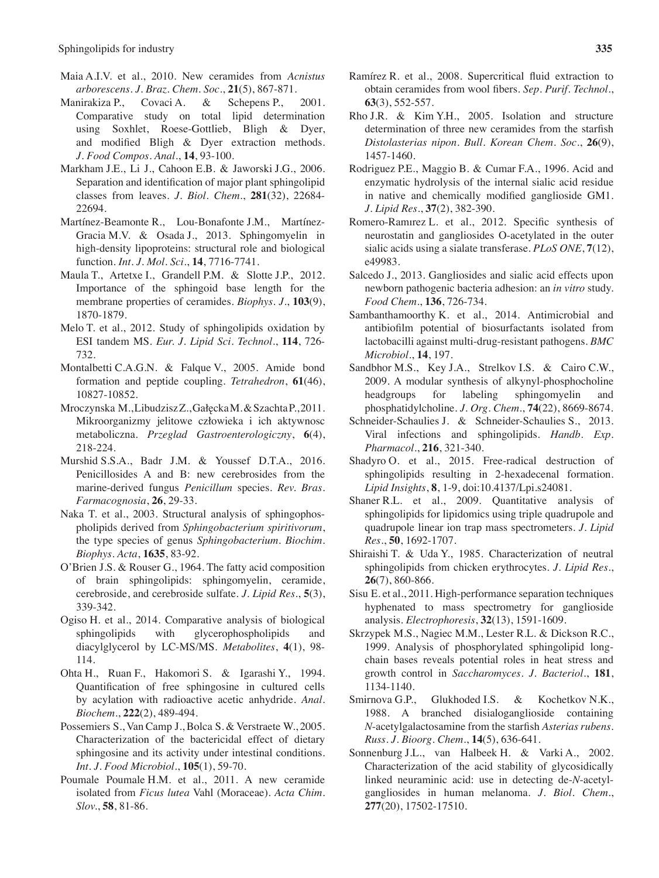- Maia A.I.V. et al., 2010. New ceramides from *Acnistus arborescens*. *J. Braz. Chem. Soc*., **21**(5), 867-871.
- Manirakiza P., Covaci A. & Schepens P., 2001. Comparative study on total lipid determination using Soxhlet, Roese-Gottlieb, Bligh & Dyer, and modified Bligh & Dyer extraction methods. *J. Food Compos. Anal*., **14**, 93-100.
- Markham J.E., Li J., Cahoon E.B. & Jaworski J.G., 2006. Separation and identification of major plant sphingolipid classes from leaves. *J. Biol. Chem*., **281**(32), 22684- 22694.
- Martínez-Beamonte R., Lou-Bonafonte J.M., Martínez-Gracia M.V. & Osada J., 2013. Sphingomyelin in high-density lipoproteins: structural role and biological function. *Int. J. Mol. Sci*., **14**, 7716-7741.
- Maula T., Artetxe I., Grandell P.M. & Slotte J.P., 2012. Importance of the sphingoid base length for the membrane properties of ceramides. *Biophys. J.*, **103**(9), 1870-1879.
- Melo T. et al., 2012. Study of sphingolipids oxidation by ESI tandem MS. *Eur. J. Lipid Sci. Technol*., **114**, 726- 732.
- Montalbetti C.A.G.N. & Falque V., 2005. Amide bond formation and peptide coupling. *Tetrahedron*, **61**(46), 10827-10852.
- Mroczynska M.,LibudziszZ.,GałęckaM.&SzachtaP.,2011. Mikroorganizmy jelitowe człowieka i ich aktywnosc metaboliczna. *Przeglad Gastroenterologiczny*, **6**(4), 218-224.
- Murshid S.S.A., Badr J.M. & Youssef D.T.A., 2016. Penicillosides A and B: new cerebrosides from the marine-derived fungus *Penicillum* species. *Rev. Bras. Farmacognosia*, **26**, 29-33.
- Naka T. et al., 2003. Structural analysis of sphingophospholipids derived from *Sphingobacterium spiritivorum*, the type species of genus *Sphingobacterium*. *Biochim. Biophys. Acta*, **1635**, 83-92.
- O'Brien J.S. & Rouser G., 1964. The fatty acid composition of brain sphingolipids: sphingomyelin, ceramide, cerebroside, and cerebroside sulfate. *J. Lipid Res*., **5**(3), 339-342.
- Ogiso H. et al., 2014. Comparative analysis of biological sphingolipids with glycerophospholipids and diacylglycerol by LC-MS/MS. *Metabolites*, **4**(1), 98- 114.
- Ohta H., Ruan F., Hakomori S. & Igarashi Y., 1994. Quantification of free sphingosine in cultured cells by acylation with radioactive acetic anhydride. *Anal. Biochem*., **222**(2), 489-494.
- Possemiers S., Van Camp J., Bolca S. & Verstraete W., 2005. Characterization of the bactericidal effect of dietary sphingosine and its activity under intestinal conditions. *Int. J. Food Microbiol*., **105**(1), 59-70.
- Poumale Poumale H.M. et al., 2011. A new ceramide isolated from *Ficus lutea* Vahl (Moraceae). *Acta Chim. Slov.*, **58**, 81-86.
- Ramírez R. et al., 2008. Supercritical fluid extraction to obtain ceramides from wool fibers. *Sep. Purif. Technol*., **63**(3), 552-557.
- Rho J.R. & Kim Y.H., 2005. Isolation and structure determination of three new ceramides from the starfish *Distolasterias nipon*. *Bull. Korean Chem. Soc*., **26**(9), 1457-1460.
- Rodriguez P.E., Maggio B. & Cumar F.A., 1996. Acid and enzymatic hydrolysis of the internal sialic acid residue in native and chemically modified ganglioside GM1. *J. Lipid Res*., **37**(2), 382-390.
- Romero-Ramırez L. et al., 2012. Specific synthesis of neurostatin and gangliosides O-acetylated in the outer sialic acids using a sialate transferase. *PLoS ONE*, **7**(12), e49983.
- Salcedo J., 2013. Gangliosides and sialic acid effects upon newborn pathogenic bacteria adhesion: an *in vitro* study. *Food Chem*., **136**, 726-734.
- Sambanthamoorthy K. et al., 2014. Antimicrobial and antibiofilm potential of biosurfactants isolated from lactobacilli against multi-drug-resistant pathogens. *BMC Microbiol*., **14**, 197.
- Sandbhor M.S., Key J.A., Strelkov I.S. & Cairo C.W., 2009. A modular synthesis of alkynyl-phosphocholine headgroups for labeling sphingomyelin and phosphatidylcholine. *J. Org. Chem*., **74**(22), 8669-8674.
- Schneider-Schaulies J. & Schneider-Schaulies S., 2013. Viral infections and sphingolipids. *Handb*. *Exp. Pharmacol*., **216**, 321-340.
- Shadyro O. et al., 2015. Free-radical destruction of sphingolipids resulting in 2-hexadecenal formation. *Lipid Insights*, **8**, 1-9, doi:10.4137/Lpi.s24081.
- Shaner R.L. et al., 2009. Quantitative analysis of sphingolipids for lipidomics using triple quadrupole and quadrupole linear ion trap mass spectrometers. *J. Lipid Res*., **50**, 1692-1707.
- Shiraishi T. & Uda Y., 1985. Characterization of neutral sphingolipids from chicken erythrocytes. *J. Lipid Res*., **26**(7), 860-866.
- Sisu E. et al., 2011. High-performance separation techniques hyphenated to mass spectrometry for ganglioside analysis. *Electrophoresis*, **32**(13), 1591-1609.
- Skrzypek M.S., Nagiec M.M., Lester R.L. & Dickson R.C., 1999. Analysis of phosphorylated sphingolipid longchain bases reveals potential roles in heat stress and growth control in *Saccharomyces*. *J. Bacteriol*., **181**, 1134-1140.
- Smirnova G.P., Glukhoded I.S. & Kochetkov N.K., 1988. A branched disialoganglioside containing *N*-acetylgalactosamine from the starfish *Asterias rubens*. *Russ. J. Bioorg. Chem*., **14**(5), 636-641.
- Sonnenburg J.L., van Halbeek H. & Varki A., 2002. Characterization of the acid stability of glycosidically linked neuraminic acid: use in detecting de-*N*-acetylgangliosides in human melanoma. *J. Biol. Chem*., **277**(20), 17502-17510.